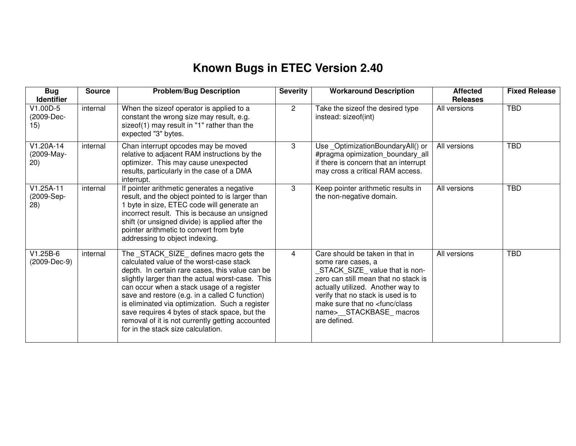## **Known Bugs in ETEC Version 2.40**

| <b>Bug</b><br><b>Identifier</b>   | <b>Source</b> | <b>Problem/Bug Description</b>                                                                                                                                                                                                                                                                                                                                                                                                                                                           | <b>Severity</b> | <b>Workaround Description</b>                                                                                                                                                                                                                                                                       | <b>Affected</b><br><b>Releases</b> | <b>Fixed Release</b> |
|-----------------------------------|---------------|------------------------------------------------------------------------------------------------------------------------------------------------------------------------------------------------------------------------------------------------------------------------------------------------------------------------------------------------------------------------------------------------------------------------------------------------------------------------------------------|-----------------|-----------------------------------------------------------------------------------------------------------------------------------------------------------------------------------------------------------------------------------------------------------------------------------------------------|------------------------------------|----------------------|
| V1.00D-5<br>(2009-Dec-<br>15)     | internal      | When the sizeof operator is applied to a<br>constant the wrong size may result, e.g.<br>sizeof(1) may result in "1" rather than the<br>expected "3" bytes.                                                                                                                                                                                                                                                                                                                               | $\overline{2}$  | Take the sizeof the desired type<br>instead: sizeof(int)                                                                                                                                                                                                                                            | All versions                       | <b>TBD</b>           |
| $V1.20A-14$<br>(2009-May-<br>20)  | internal      | Chan interrupt opcodes may be moved<br>relative to adjacent RAM instructions by the<br>optimizer. This may cause unexpected<br>results, particularly in the case of a DMA<br>interrupt.                                                                                                                                                                                                                                                                                                  | 3               | Use_OptimizationBoundaryAll() or<br>#pragma opimization_boundary_all<br>if there is concern that an interrupt<br>may cross a critical RAM access.                                                                                                                                                   | All versions                       | <b>TBD</b>           |
| $V1.25A-11$<br>(2009-Sep-<br>(28) | internal      | If pointer arithmetic generates a negative<br>result, and the object pointed to is larger than<br>1 byte in size, ETEC code will generate an<br>incorrect result. This is because an unsigned<br>shift (or unsigned divide) is applied after the<br>pointer arithmetic to convert from byte<br>addressing to object indexing.                                                                                                                                                            | 3               | Keep pointer arithmetic results in<br>the non-negative domain.                                                                                                                                                                                                                                      | All versions                       | <b>TBD</b>           |
| $V1.25B-6$<br>(2009-Dec-9)        | internal      | The _STACK_SIZE_ defines macro gets the<br>calculated value of the worst-case stack<br>depth. In certain rare cases, this value can be<br>slightly larger than the actual worst-case. This<br>can occur when a stack usage of a register<br>save and restore (e.g. in a called C function)<br>is eliminated via optimization. Such a register<br>save requires 4 bytes of stack space, but the<br>removal of it is not currently getting accounted<br>for in the stack size calculation. | 4               | Care should be taken in that in<br>some rare cases, a<br>STACK_SIZE_value that is non-<br>zero can still mean that no stack is<br>actually utilized. Another way to<br>verify that no stack is used is to<br>make sure that no <func class<br="">name&gt;__STACKBASE_macros<br/>are defined.</func> | All versions                       | <b>TBD</b>           |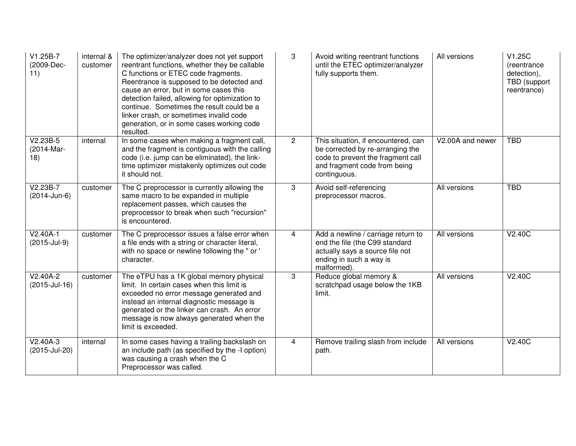| V1.25B-7<br>(2009-Dec-<br>11)   | internal &<br>customer | The optimizer/analyzer does not yet support<br>reentrant functions, whether they be callable<br>C functions or ETEC code fragments.<br>Reentrance is supposed to be detected and<br>cause an error, but in some cases this<br>detection failed, allowing for optimization to<br>continue. Sometimes the result could be a<br>linker crash, or sometimes invalid code<br>generation, or in some cases working code<br>resulted. | 3              | Avoid writing reentrant functions<br>until the ETEC optimizer/analyzer<br>fully supports them.                                                               | All versions     | V1.25C<br>(reentrance<br>detection),<br>TBD (support<br>reentrance) |
|---------------------------------|------------------------|--------------------------------------------------------------------------------------------------------------------------------------------------------------------------------------------------------------------------------------------------------------------------------------------------------------------------------------------------------------------------------------------------------------------------------|----------------|--------------------------------------------------------------------------------------------------------------------------------------------------------------|------------------|---------------------------------------------------------------------|
| $V2.23B-5$<br>(2014-Mar-<br>18) | internal               | In some cases when making a fragment call,<br>and the fragment is contiguous with the calling<br>code (i.e. jump can be eliminated), the link-<br>time optimizer mistakenly optimizes out code<br>it should not.                                                                                                                                                                                                               | $\overline{2}$ | This situation, if encountered, can<br>be corrected by re-arranging the<br>code to prevent the fragment call<br>and fragment code from being<br>continguous. | V2.00A and newer | <b>TBD</b>                                                          |
| $V2.23B-7$<br>(2014-Jun-6)      | customer               | The C preprocessor is currently allowing the<br>same macro to be expanded in multiple<br>replacement passes, which causes the<br>preprocessor to break when such "recursion"<br>is encountered.                                                                                                                                                                                                                                | 3              | Avoid self-referencing<br>preprocessor macros.                                                                                                               | All versions     | <b>TBD</b>                                                          |
| V2.40A-1<br>(2015-Jul-9)        | customer               | The C preprocessor issues a false error when<br>a file ends with a string or character literal,<br>with no space or newline following the " or '<br>character.                                                                                                                                                                                                                                                                 | 4              | Add a newline / carriage return to<br>end the file (the C99 standard<br>actually says a source file not<br>ending in such a way is<br>malformed).            | All versions     | V2.40C                                                              |
| $V2.40A-2$<br>(2015-Jul-16)     | customer               | The eTPU has a 1K global memory physical<br>limit. In certain cases when this limit is<br>exceeded no error message generated and<br>instead an internal diagnostic message is<br>generated or the linker can crash. An error<br>message is now always generated when the<br>limit is exceeded.                                                                                                                                | 3              | Reduce global memory &<br>scratchpad usage below the 1KB<br>limit.                                                                                           | All versions     | V2.40C                                                              |
| $V2.40A-3$<br>(2015-Jul-20)     | internal               | In some cases having a trailing backslash on<br>an include path (as specified by the -I option)<br>was causing a crash when the C<br>Preprocessor was called.                                                                                                                                                                                                                                                                  | 4              | Remove trailing slash from include<br>path.                                                                                                                  | All versions     | V2.40C                                                              |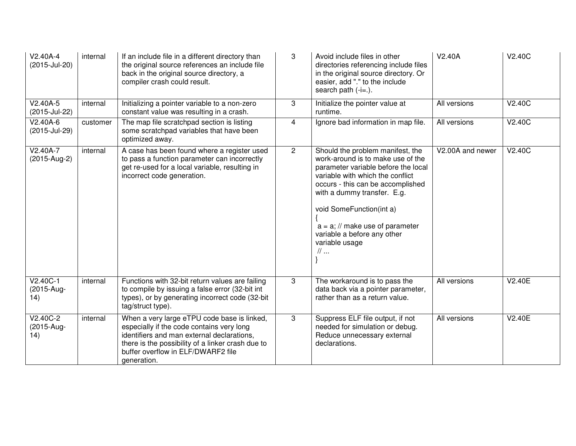| $V2.40A-4$<br>(2015-Jul-20)     | internal | If an include file in a different directory than<br>the original source references an include file<br>back in the original source directory, a<br>compiler crash could result.                                                                   | 3              | Avoid include files in other<br>directories referencing include files<br>in the original source directory. Or<br>easier, add "." to the include<br>search path $(-i=.)$ .                                                                                                                                                                                | V2.40A           | V2.40C        |
|---------------------------------|----------|--------------------------------------------------------------------------------------------------------------------------------------------------------------------------------------------------------------------------------------------------|----------------|----------------------------------------------------------------------------------------------------------------------------------------------------------------------------------------------------------------------------------------------------------------------------------------------------------------------------------------------------------|------------------|---------------|
| $V2.40A-5$<br>(2015-Jul-22)     | internal | Initializing a pointer variable to a non-zero<br>constant value was resulting in a crash.                                                                                                                                                        | 3              | Initialize the pointer value at<br>runtime.                                                                                                                                                                                                                                                                                                              | All versions     | V2.40C        |
| $V2.40A-6$<br>(2015-Jul-29)     | customer | The map file scratchpad section is listing<br>some scratchpad variables that have been<br>optimized away.                                                                                                                                        | $\overline{4}$ | Ignore bad information in map file.                                                                                                                                                                                                                                                                                                                      | All versions     | <b>V2.40C</b> |
| V2.40A-7<br>(2015-Aug-2)        | internal | A case has been found where a register used<br>to pass a function parameter can incorrectly<br>get re-used for a local variable, resulting in<br>incorrect code generation.                                                                      | $\overline{2}$ | Should the problem manifest, the<br>work-around is to make use of the<br>parameter variable before the local<br>variable with which the conflict<br>occurs - this can be accomplished<br>with a dummy transfer. E.g.<br>void SomeFunction(int a)<br>$a = a$ ; // make use of parameter<br>variable a before any other<br>variable usage<br>$\mathcal{U}$ | V2.00A and newer | V2.40C        |
| $V2.40C-1$<br>(2015-Aug-<br>14) | internal | Functions with 32-bit return values are failing<br>to compile by issuing a false error (32-bit int<br>types), or by generating incorrect code (32-bit<br>tag/struct type).                                                                       | 3              | The workaround is to pass the<br>data back via a pointer parameter,<br>rather than as a return value.                                                                                                                                                                                                                                                    | All versions     | V2.40E        |
| $V2.40C-2$<br>(2015-Aug-<br>14) | internal | When a very large eTPU code base is linked,<br>especially if the code contains very long<br>identifiers and man external declarations,<br>there is the possibility of a linker crash due to<br>buffer overflow in ELF/DWARF2 file<br>generation. | 3              | Suppress ELF file output, if not<br>needed for simulation or debug.<br>Reduce unnecessary external<br>declarations.                                                                                                                                                                                                                                      | All versions     | V2.40E        |